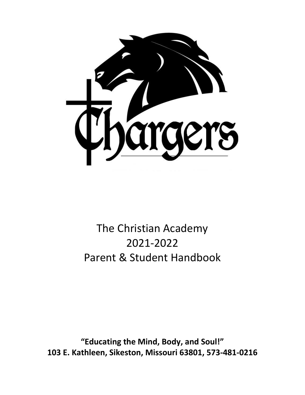

# The Christian Academy 2021-2022 Parent & Student Handbook

**"Educating the Mind, Body, and Soul!" 103 E. Kathleen, Sikeston, Missouri 63801, 573-481-0216**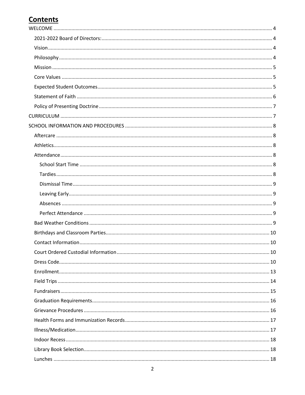## **Contents**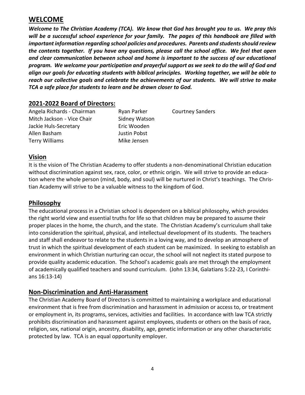## <span id="page-3-0"></span>**WELCOME**

*Welcome to The Christian Academy (TCA). We know that God has brought you to us. We pray this will be a successful school experience for your family. The pages of this handbook are filled with important information regarding school policies and procedures. Parents and students should review the contents together. If you have any questions, please call the school office. We feel that open and clear communication between school and home is important to the success of our educational program. We welcome your participation and prayerful support as we seek to do the will of God and align our goals for educating students with biblical principles. Working together, we will be able to reach our collective goals and celebrate the achievements of our students. We will strive to make TCA a safe place for students to learn and be drawn closer to God.*

#### <span id="page-3-1"></span>**2021-2022 Board of Directors:**

| Angela Richards - Chairman | Ryan Parker   | <b>Courtney Sanders</b> |
|----------------------------|---------------|-------------------------|
| Mitch Jackson - Vice Chair | Sidney Watson |                         |
| Jackie Huls-Secretary      | Eric Wooden   |                         |
| Allen Basham               | Justin Pobst  |                         |
| <b>Terry Williams</b>      | Mike Jensen   |                         |

#### <span id="page-3-2"></span>**Vision**

It is the vision of The Christian Academy to offer students a non-denominational Christian education without discrimination against sex, race, color, or ethnic origin. We will strive to provide an education where the whole person (mind, body, and soul) will be nurtured in Christ's teachings. The Christian Academy will strive to be a valuable witness to the kingdom of God.

#### <span id="page-3-3"></span>**Philosophy**

The educational process in a Christian school is dependent on a biblical philosophy, which provides the right world view and essential truths for life so that children may be prepared to assume their proper places in the home, the church, and the state. The Christian Academy's curriculum shall take into consideration the spiritual, physical, and intellectual development of its students. The teachers and staff shall endeavor to relate to the students in a loving way, and to develop an atmosphere of trust in which the spiritual development of each student can be maximized. In seeking to establish an environment in which Christian nurturing can occur, the school will not neglect its stated purpose to provide quality academic education. The School's academic goals are met through the employment of academically qualified teachers and sound curriculum. (John 13:34, Galatians 5:22-23, I Corinthians 16:13-14)

#### **Non-Discrimination and Anti-Harassment**

The Christian Academy Board of Directors is committed to maintaining a workplace and educational environment that is free from discrimination and harassment in admission or access to, or treatment or employment in, its programs, services, activities and facilities. In accordance with law TCA strictly prohibits discrimination and harassment against employees, students or others on the basis of race, religion, sex, national origin, ancestry, disability, age, genetic information or any other characteristic protected by law. TCA is an equal opportunity employer.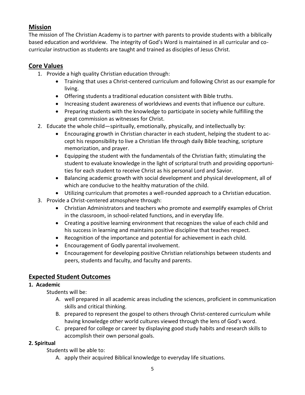## <span id="page-4-0"></span>**Mission**

The mission of The Christian Academy is to partner with parents to provide students with a biblically based education and worldview. The integrity of God's Word is maintained in all curricular and cocurricular instruction as students are taught and trained as disciples of Jesus Christ.

## <span id="page-4-1"></span>**Core Values**

- 1. Provide a high quality Christian education through:
	- Training that uses a Christ-centered curriculum and following Christ as our example for living.
	- Offering students a traditional education consistent with Bible truths.
	- Increasing student awareness of worldviews and events that influence our culture.
	- Preparing students with the knowledge to participate in society while fulfilling the great commission as witnesses for Christ.
- 2. Educate the whole child—spiritually, emotionally, physically, and intellectually by:
	- Encouraging growth in Christian character in each student, helping the student to accept his responsibility to live a Christian life through daily Bible teaching, scripture memorization, and prayer.
	- Equipping the student with the fundamentals of the Christian faith; stimulating the student to evaluate knowledge in the light of scriptural truth and providing opportunities for each student to receive Christ as his personal Lord and Savior.
	- Balancing academic growth with social development and physical development, all of which are conducive to the healthy maturation of the child.
	- Utilizing curriculum that promotes a well-rounded approach to a Christian education.
- 3. Provide a Christ-centered atmosphere through:
	- Christian Administrators and teachers who promote and exemplify examples of Christ in the classroom, in school-related functions, and in everyday life.
	- Creating a positive learning environment that recognizes the value of each child and his success in learning and maintains positive discipline that teaches respect.
	- Recognition of the importance and potential for achievement in each child.
	- Encouragement of Godly parental involvement.
	- Encouragement for developing positive Christian relationships between students and peers, students and faculty, and faculty and parents.

## <span id="page-4-2"></span>**Expected Student Outcomes**

#### **1. Academic**

Students will be:

- A. well prepared in all academic areas including the sciences, proficient in communication skills and critical thinking.
- B. prepared to represent the gospel to others through Christ-centered curriculum while having knowledge other world cultures viewed through the lens of God's word.
- C. prepared for college or career by displaying good study habits and research skills to accomplish their own personal goals.

#### **2. Spiritual**

Students will be able to:

A. apply their acquired Biblical knowledge to everyday life situations.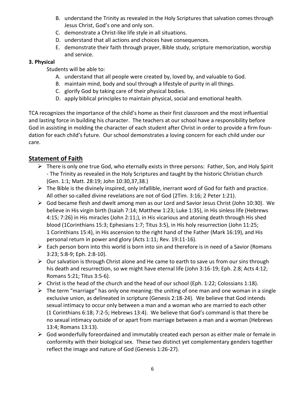- B. understand the Trinity as revealed in the Holy Scriptures that salvation comes through Jesus Christ, God's one and only son.
- C. demonstrate a Christ-like life style in all situations.
- D. understand that all actions and choices have consequences.
- E. demonstrate their faith through prayer, Bible study, scripture memorization, worship and service.

#### **3. Physical**

Students will be able to:

- A. understand that all people were created by, loved by, and valuable to God.
- B. maintain mind, body and soul through a lifestyle of purity in all things.
- C. glorify God by taking care of their physical bodies.
- D. apply biblical principles to maintain physical, social and emotional health.

TCA recognizes the importance of the child's home as their first classroom and the most influential and lasting force in building his character. The teachers at our school have a responsibility before God in assisting in molding the character of each student after Christ in order to provide a firm foundation for each child's future. Our school demonstrates a loving concern for each child under our care.

## <span id="page-5-0"></span>**Statement of Faith**

- $\triangleright$  There is only one true God, who eternally exists in three persons: Father, Son, and Holy Spirit - The Trinity as revealed in the Holy Scriptures and taught by the historic Christian church (Gen. 1:1; Matt. 28:19; John 10:30,37,38.)
- $\triangleright$  The Bible is the divinely inspired, only infallible, inerrant word of God for faith and practice. All other so-called divine revelations are not of God (2Tim. 3:16; 2 Peter 1:21).
- ➢ God became flesh and dwelt among men as our Lord and Savior Jesus Christ (John 10:30). We believe in His virgin birth (Isaiah 7:14; Matthew 1:23; Luke 1:35), in His sinless life (Hebrews 4:15; 7:26) in His miracles (John 2:11;), in His vicarious and atoning death through His shed blood (1Corinthians 15:3; Ephesians 1:7; Titus 3:5), in His holy resurrection (John 11:25; 1 Corinthians 15:4), in His ascension to the right hand of the Father (Mark 16:19), and His personal return in power and glory (Acts 1:11; Rev. 19:11-16).
- ➢ Each person born into this world is born into sin and therefore is in need of a Savior (Romans 3:23; 5:8-9; Eph. 2:8-10).
- ➢ Our salvation is through Christ alone and He came to earth to save us from our sins through his death and resurrection, so we might have eternal life (John 3:16-19; Eph. 2:8; Acts 4:12; Romans 5:21; Titus 3:5-6).
- $\triangleright$  Christ is the head of the church and the head of our school (Eph. 1:22; Colossians 1:18).
- $\triangleright$  The term "marriage" has only one meaning: the uniting of one man and one woman in a single exclusive union, as delineated in scripture (Genesis 2:18-24). We believe that God intends sexual intimacy to occur only between a man and a woman who are married to each other (1 Corinthians 6:18; 7:2-5; Hebrews 13:4). We believe that God's command is that there be no sexual intimacy outside of or apart from marriage between a man and a woman (Hebrews 13:4; Romans 13:13).
- ➢ God wonderfully foreordained and immutably created each person as either male or female in conformity with their biological sex. These two distinct yet complementary genders together reflect the image and nature of God (Genesis 1:26-27).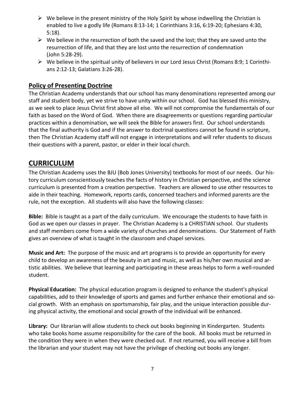- $\triangleright$  We believe in the present ministry of the Holy Spirit by whose indwelling the Christian is enabled to live a godly life (Romans 8:13-14; 1 Corinthians 3:16, 6:19-20; Ephesians 4:30, 5:18).
- $\triangleright$  We believe in the resurrection of both the saved and the lost; that they are saved unto the resurrection of life, and that they are lost unto the resurrection of condemnation (John 5:28-29).
- $\triangleright$  We believe in the spiritual unity of believers in our Lord Jesus Christ (Romans 8:9; 1 Corinthians 2:12-13; Galatians 3:26-28).

#### <span id="page-6-0"></span>**Policy of Presenting Doctrine**

The Christian Academy understands that our school has many denominations represented among our staff and student body, yet we strive to have unity within our school. God has blessed this ministry, as we seek to place Jesus Christ first above all else. We will not compromise the fundamentals of our faith as based on the Word of God. When there are disagreements or questions regarding particular practices within a denomination, we will seek the Bible for answers first. Our school understands that the final authority is God and if the answer to doctrinal questions cannot be found in scripture, then The Christian Academy staff will not engage in interpretations and will refer students to discuss their questions with a parent, pastor, or elder in their local church.

## <span id="page-6-1"></span>**CURRICULUM**

The Christian Academy uses the BJU (Bob Jones University) textbooks for most of our needs. Our history curriculum conscientiously teaches the facts of history in Christian perspective, and the science curriculum is presented from a creation perspective. Teachers are allowed to use other resources to aide in their teaching. Homework, reports cards, concerned teachers and informed parents are the rule, not the exception. All students will also have the following classes:

**Bible:** Bible is taught as a part of the daily curriculum. We encourage the students to have faith in God as we open our classes in prayer. The Christian Academy is a CHRISTIAN school. Our students and staff members come from a wide variety of churches and denominations. Our Statement of Faith gives an overview of what is taught in the classroom and chapel services.

**Music and Art:** The purpose of the music and art programs is to provide an opportunity for every child to develop an awareness of the beauty in art and music, as well as his/her own musical and artistic abilities. We believe that learning and participating in these areas helps to form a well-rounded student.

**Physical Education:** The physical education program is designed to enhance the student's physical capabilities, add to their knowledge of sports and games and further enhance their emotional and social growth. With an emphasis on sportsmanship, fair play, and the unique interaction possible during physical activity, the emotional and social growth of the individual will be enhanced.

**Library:** Our librarian will allow students to check out books beginning in Kindergarten. Students who take books home assume responsibility for the care of the book. All books must be returned in the condition they were in when they were checked out. If not returned, you will receive a bill from the librarian and your student may not have the privilege of checking out books any longer.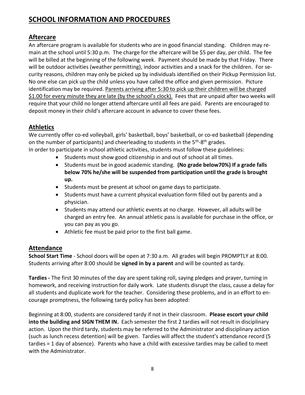## <span id="page-7-0"></span>**SCHOOL INFORMATION AND PROCEDURES**

## <span id="page-7-1"></span>**Aftercare**

An aftercare program is available for students who are in good financial standing. Children may remain at the school until 5:30 p.m. The charge for the aftercare will be \$5 per day, per child. The fee will be billed at the beginning of the following week. Payment should be made by that Friday. There will be outdoor activities (weather permitting), indoor activities and a snack for the children. For security reasons, children may only be picked up by individuals identified on their Pickup Permission list. No one else can pick up the child unless you have called the office and given permission. Picture identification may be required. Parents arriving after 5:30 to pick up their children will be charged \$1.00 for every minute they are late (by the school's clock). Fees that are unpaid after two weeks will require that your child no longer attend aftercare until all fees are paid. Parents are encouraged to deposit money in their child's aftercare account in advance to cover these fees.

## <span id="page-7-2"></span>**Athletics**

We currently offer co-ed volleyball, girls' basketball, boys' basketball, or co-ed basketball (depending on the number of participants) and cheerleading to students in the 5<sup>th</sup>-8<sup>th</sup> grades. In order to participate in school athletic activities, students must follow these guidelines:

- Students must show good citizenship in and out of school at all times.
- Students must be in good academic standing. **(No grade below70%) If a grade falls below 70% he/she will be suspended from participation until the grade is brought up.**
- Students must be present at school on game days to participate.
- Students must have a current physical evaluation form filled out by parents and a physician.
- Students may attend our athletic events at no charge. However, all adults will be charged an entry fee. An annual athletic pass is available for purchase in the office, or you can pay as you go.
- Athletic fee must be paid prior to the first ball game.

## <span id="page-7-3"></span>**Attendance**

<span id="page-7-4"></span>**School Start Time** - School doors will be open at 7:30 a.m. All grades will begin PROMPTLY at 8:00. Students arriving after 8:00 should be **signed in by a parent** and will be counted as tardy.

<span id="page-7-5"></span>**Tardies -** The first 30 minutes of the day are spent taking roll, saying pledges and prayer, turning in homework, and receiving instruction for daily work. Late students disrupt the class, cause a delay for all students and duplicate work for the teacher. Considering these problems, and in an effort to encourage promptness, the following tardy policy has been adopted:

Beginning at 8:00, students are considered tardy if not in their classroom. **Please escort your child into the building and SIGN THEM IN.** Each semester the first 2 tardies will not result in disciplinary action. Upon the third tardy, students may be referred to the Administrator and disciplinary action (such as lunch recess detention) will be given. Tardies will affect the student's attendance record (5 tardies = 1 day of absence). Parents who have a child with excessive tardies may be called to meet with the Administrator.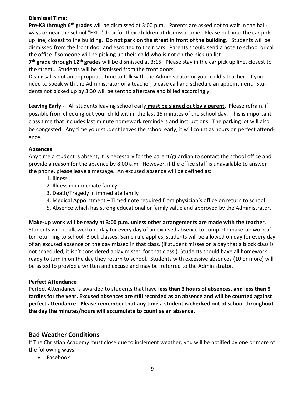#### <span id="page-8-0"></span>**Dismissal Time**:

Pre-K3 through 6<sup>th</sup> grades will be dismissed at 3:00 p.m. Parents are asked not to wait in the hallways or near the school "EXIT" door for their children at dismissal time. Please pull into the car pickup line, closest to the building. **Do not park on the street in front of the building**. Students will be dismissed from the front door and escorted to their cars. Parents should send a note to school or call the office if someone will be picking up their child who is not on the pick-up list.

**7 th grade through 12th grades** will be dismissed at 3:15. Please stay in the car pick up line, closest to the street.. Students will be dismissed from the front doors.

Dismissal is not an appropriate time to talk with the Administrator or your child's teacher. If you need to speak with the Administrator or a teacher, please call and schedule an appointment. Students not picked up by 3:30 will be sent to aftercare and billed accordingly.

<span id="page-8-1"></span>**Leaving Early -**. All students leaving school early **must be signed out by a parent**. Please refrain, if possible from checking out your child within the last 15 minutes of the school day. This is important class time that includes last minute homework reminders and instructions. The parking lot will also be congested. Any time your student leaves the school early, it will count as hours on perfect attendance.

#### <span id="page-8-2"></span>**Absences**

Any time a student is absent, it is necessary for the parent/guardian to contact the school office and provide a reason for the absence by 8:00 a.m. However, if the office staff is unavailable to answer the phone, please leave a message. An excused absence will be defined as:

- 1. Illness
- 2. Illness in immediate family
- 3. Death/Tragedy in immediate family
- 4. Medical Appointment Timed note required from physician's office on return to school.
- 5. Absence which has strong educational or family value and approved by the Administrator.

**Make-up work will be ready at 3:00 p.m. unless other arrangements are made with the teacher**. Students will be allowed one day for every day of an excused absence to complete make-up work after returning to school. Block classes: Same rule applies, students will be allowed on day for every day of an excused absence on the day missed in that class. (if student misses on a day that a block class is not scheduled, it isn't considered a day missed for that class.) Students should have all homework ready to turn in on the day they return to school. Students with excessive absences (10 or more) will be asked to provide a written and excuse and may be referred to the Administrator.

#### <span id="page-8-3"></span>**Perfect Attendance**

Perfect Attendance is awarded to students that have **less than 3 hours of absences, and less than 5 tardies for the year. Excused absences are still recorded as an absence and will be counted against perfect attendance. Please remember that any time a student is checked out of school throughout the day the minutes/hours will accumulate to count as an absence.**

## <span id="page-8-4"></span>**Bad Weather Conditions**

If The Christian Academy must close due to inclement weather, you will be notified by one or more of the following ways:

• Facebook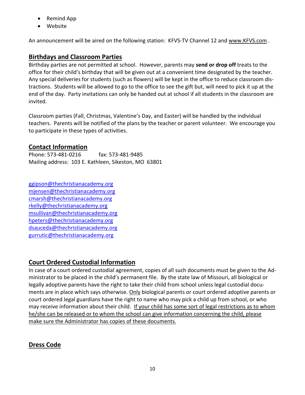- Remind App
- Website

An announcement will be aired on the following station: KFVS-TV Channel 12 and [www.KFVS.com](http://www.kfvs.com/).

## <span id="page-9-0"></span>**Birthdays and Classroom Parties**

Birthday parties are not permitted at school. However, parents may **send or drop off** treats to the office for their child's birthday that will be given out at a convenient time designated by the teacher. Any special deliveries for students (such as flowers) will be kept in the office to reduce classroom distractions. Students will be allowed to go to the office to see the gift but, will need to pick it up at the end of the day. Party invitations can only be handed out at school if all students in the classroom are invited.

Classroom parties (Fall, Christmas, Valentine's Day, and Easter) will be handled by the individual teachers. Parents will be notified of the plans by the teacher or parent volunteer. We encourage you to participate in these types of activities.

#### <span id="page-9-1"></span>**Contact Information**

Phone: 573-481-0216 fax: 573-481-9485 Mailing address: 103 E. Kathleen, Sikeston, MO 63801

[ggipson@thechristianacademy.org](mailto:ggipson@thechristianacademy.org) [mjensen@thechristianacademy.org](mailto:mjensen@thechristianacademy.org) [cmarsh@thechristianacademy.org](mailto:cmarsh@thechristianacademy.org) [rkelly@thechristianacademy.org](mailto:rkelly@thechristianacademy.org) [msullivan@thechristianacademy.org](mailto:msullivan@thechristianacademy.org) [hpeters@thechristianacademy.org](mailto:hpeters@thechristianacademy.org) [dsauceda@thechristianacademy.org](mailto:dsauceda@thechristianacademy.org) gurrutic@thechristianacademy.org

## <span id="page-9-2"></span>**Court Ordered Custodial Information**

In case of a court ordered custodial agreement, copies of all such documents must be given to the Administrator to be placed in the child's permanent file. By the state law of Missouri, all biological or legally adoptive parents have the right to take their child from school unless legal custodial documents are in place which says otherwise. Only biological parents or court ordered adoptive parents or court ordered legal guardians have the right to name who may pick a child up from school, or who may receive information about their child. If your child has some sort of legal restrictions as to whom he/she can be released or to whom the school can give information concerning the child, please make sure the Administrator has copies of these documents.

## <span id="page-9-3"></span>**Dress Code**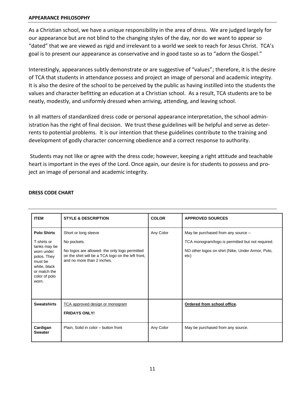#### **APPEARANCE PHILOSOPHY**

As a Christian school, we have a unique responsibility in the area of dress. We are judged largely for our appearance but are not blind to the changing styles of the day, nor do we want to appear so "dated" that we are viewed as rigid and irrelevant to a world we seek to reach for Jesus Christ. TCA's goal is to present our appearance as conservative and in good taste so as to "adorn the Gospel."

Interestingly, appearances subtly demonstrate or are suggestive of "values"; therefore, it is the desire of TCA that students in attendance possess and project an image of personal and academic integrity. It is also the desire of the school to be perceived by the public as having instilled into the students the values and character befitting an education at a Christian school. As a result, TCA students are to be neatly, modestly, and uniformly dressed when arriving, attending, and leaving school.

In all matters of standardized dress code or personal appearance interpretation, the school administration has the right of final decision. We trust these guidelines will be helpful and serve as deterrents to potential problems. It is our intention that these guidelines contribute to the training and development of godly character concerning obedience and a correct response to authority.

Students may not like or agree with the dress code; however, keeping a right attitude and teachable heart is important in the eyes of the Lord. Once again, our desire is for students to possess and project an image of personal and academic integrity.

| <b>ITEM</b>                                                                                                                                         | <b>STYLE &amp; DESCRIPTION</b>                                                                                                                                           | <b>COLOR</b> | <b>APPROVED SOURCES</b>                                                                                                                             |
|-----------------------------------------------------------------------------------------------------------------------------------------------------|--------------------------------------------------------------------------------------------------------------------------------------------------------------------------|--------------|-----------------------------------------------------------------------------------------------------------------------------------------------------|
| <b>Polo Shirts</b><br>T-shirts or<br>tanks may be<br>worn under<br>polos. They<br>must be<br>white, black<br>or match the<br>color of polo<br>worn. | Short or long sleeve<br>No pockets.<br>No logos are allowed- the only logo permitted<br>on the shirt will be a TCA logo on the left front,<br>and no more than 2 inches. | Any Color    | May be purchased from any source -<br>TCA monogram/logo is permitted but not required.<br>NO other logos on shirt (Nike, Under Armor, Polo,<br>etc) |
| <b>Sweatshirts</b>                                                                                                                                  | TCA approved design or monogram<br><b>FRIDAYS ONLY!</b>                                                                                                                  |              | Ordered from school office.                                                                                                                         |
| Cardigan<br><b>Sweater</b>                                                                                                                          | Plain, Solid in color - button front                                                                                                                                     | Any Color    | May be purchased from any source.                                                                                                                   |

#### **DRESS CODE CHART**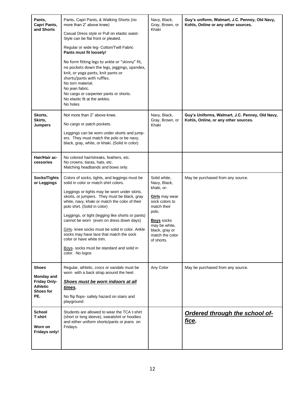| Pants,<br>Capri Pants,<br>and Shorts                                       | Pants, Capri Pants, & Walking Shorts (no<br>more than 2" above knee)<br>Casual Dress style or Pull on elastic waist-<br>Style can be flat front or pleated.<br>Regular or wide leg- Cotton/Twill Fabric<br>Pants must fit loosely!<br>No form fitting legs to ankle or "skinny" fit,<br>no pockets down the legs, jeggings, spandex,<br>knit, or yoga pants, knit pants or<br>shorts/pants with ruffles.<br>No torn material.<br>No jean fabric.<br>No cargo or carpenter pants or shorts.<br>No elastic fit at the ankles.<br>No holes                              | Navy, Black,<br>Gray, Brown, or<br>Khaki                                                                                                                                                        | Guy's uniform, Walmart, J.C. Penney, Old Navy,<br>Kohls, Online or any other sources.   |
|----------------------------------------------------------------------------|----------------------------------------------------------------------------------------------------------------------------------------------------------------------------------------------------------------------------------------------------------------------------------------------------------------------------------------------------------------------------------------------------------------------------------------------------------------------------------------------------------------------------------------------------------------------|-------------------------------------------------------------------------------------------------------------------------------------------------------------------------------------------------|-----------------------------------------------------------------------------------------|
| Skorts,<br>Skirts,<br>Jumpers                                              | Not more than 2" above knee.<br>No cargo or patch pockets.<br>Leggings can be worn under skorts and jump-<br>ers. They must match the polo or be navy,<br>black, gray, white, or khaki. (Solid in color)                                                                                                                                                                                                                                                                                                                                                             | Navy, Black,<br>Gray, Brown, or<br>Khaki                                                                                                                                                        | Guy's Uniforms, Walmart, J.C. Penney, Old Navy,<br>Kohls, Online, or any other sources. |
| Hair/Hair ac-<br>cessories                                                 | No colored hair/streaks, feathers, etc.<br>No crowns, tiaras, hats, etc.<br>Matching headbands and bows only.                                                                                                                                                                                                                                                                                                                                                                                                                                                        |                                                                                                                                                                                                 |                                                                                         |
| Socks/Tights<br>or Leggings                                                | Colors of socks, tights, and leggings must be<br>solid in color or match shirt colors.<br>Leggings or tights may be worn under skirts,<br>skorts, or jumpers. They must be black, gray<br>white, navy, khaki or match the color of their<br>polo shirt. (Solid in color)<br>Leggings, or tight (legging like shorts or pants)<br>cannot be worn (even on dress down days)<br>Girls- knee socks must be solid in color. Ankle<br>socks may have lace that match the sock<br>color or have white trim.<br>Boys- socks must be standard and solid in<br>color. No logos | Solid white,<br>Navy, Black,<br>khaki, or-<br>Girls may wear<br>sock colors to<br>match their<br>polo.<br><b>Boys</b> socks<br>may be white,<br>black, gray or<br>match the color<br>of shorts. | May be purchased from any source.                                                       |
| Shoes<br>Monday and<br><b>Friday Only-</b><br>Athletic<br>Shoes for<br>PE. | Regular, athletic, crocs or sandals must be<br>worn with a back strap around the heel.<br>Shoes must be worn indoors at all<br><u>times</u> .<br>No flip flops- safety hazard on stairs and<br>playground                                                                                                                                                                                                                                                                                                                                                            | Any Color                                                                                                                                                                                       | May be purchased from any source.                                                       |
| <b>School</b><br>T-shirt<br>Worn on<br><b>Fridays only!</b>                | Students are allowed to wear the TCA t-shirt<br>(short or long sleeve), sweatshirt or hoodies<br>and either uniform shorts/pants or jeans on<br>Fridays.                                                                                                                                                                                                                                                                                                                                                                                                             |                                                                                                                                                                                                 | <b>Ordered through the school of-</b><br>fice.                                          |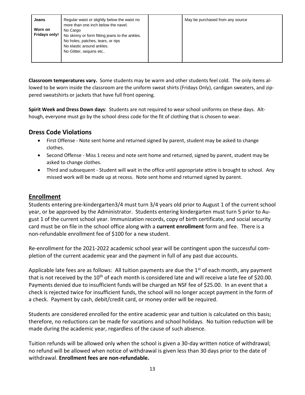**Classroom temperatures vary.** Some students may be warm and other students feel cold. The only items allowed to be worn inside the classroom are the uniform sweat shirts (Fridays Only), cardigan sweaters, and zippered sweatshirts or jackets that have full front opening.

**Spirit Week and Dress Down days**: Students are not required to wear school uniforms on these days. Although, everyone must go by the school dress code for the fit of clothing that is chosen to wear.

#### **Dress Code Violations**

- First Offense Note sent home and returned signed by parent, student may be asked to change clothes.
- Second Offense Miss 1 recess and note sent home and returned, signed by parent, student may be asked to change clothes.
- Third and subsequent Student will wait in the office until appropriate attire is brought to school. Any missed work will be made up at recess. Note sent home and returned signed by parent.

#### <span id="page-12-0"></span>**Enrollment**

Students entering pre-kindergarten3/4 must turn 3/4 years old prior to August 1 of the current school year, or be approved by the Administrator. Students entering kindergarten must turn 5 prior to August 1 of the current school year. Immunization records, copy of birth certificate, and social security card must be on file in the school office along with a **current enrollment** form and fee. There is a non-refundable enrollment fee of \$100 for a new student.

Re-enrollment for the 2021-2022 academic school year will be contingent upon the successful completion of the current academic year and the payment in full of any past due accounts.

Applicable late fees are as follows: All tuition payments are due the  $1<sup>st</sup>$  of each month, any payment that is not received by the  $10<sup>th</sup>$  of each month is considered late and will receive a late fee of \$20.00. Payments denied due to insufficient funds will be charged an NSF fee of \$25.00. In an event that a check is rejected twice for insufficient funds, the school will no longer accept payment in the form of a check. Payment by cash, debit/credit card, or money order will be required.

Students are considered enrolled for the entire academic year and tuition is calculated on this basis; therefore, no reductions can be made for vacations and school holidays. No tuition reduction will be made during the academic year, regardless of the cause of such absence.

Tuition refunds will be allowed only when the school is given a 30-day written notice of withdrawal; no refund will be allowed when notice of withdrawal is given less than 30 days prior to the date of withdrawal. **Enrollment fees are non-refundable.**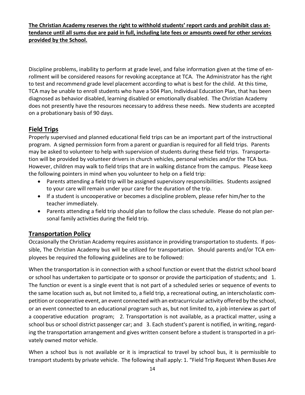**The Christian Academy reserves the right to withhold students' report cards and prohibit class attendance until all sums due are paid in full, including late fees or amounts owed for other services provided by the School.**

Discipline problems, inability to perform at grade level, and false information given at the time of enrollment will be considered reasons for revoking acceptance at TCA. The Administrator has the right to test and recommend grade level placement according to what is best for the child. At this time, TCA may be unable to enroll students who have a 504 Plan, Individual Education Plan, that has been diagnosed as behavior disabled, learning disabled or emotionally disabled. The Christian Academy does not presently have the resources necessary to address these needs. New students are accepted on a probationary basis of 90 days.

## <span id="page-13-0"></span>**Field Trips**

Properly supervised and planned educational field trips can be an important part of the instructional program. A signed permission form from a parent or guardian is required for all field trips. Parents may be asked to volunteer to help with supervision of students during these field trips. Transportation will be provided by volunteer drivers in church vehicles, personal vehicles and/or the TCA bus. However, children may walk to field trips that are in walking distance from the campus. Please keep the following pointers in mind when you volunteer to help on a field trip:

- Parents attending a field trip will be assigned supervisory responsibilities. Students assigned to your care will remain under your care for the duration of the trip.
- If a student is uncooperative or becomes a discipline problem, please refer him/her to the teacher immediately.
- Parents attending a field trip should plan to follow the class schedule. Please do not plan personal family activities during the field trip.

#### **Transportation Policy**

Occasionally the Christian Academy requires assistance in providing transportation to students. If possible, The Christian Academy bus will be utilized for transportation. Should parents and/or TCA employees be required the following guidelines are to be followed:

When the transportation is in connection with a school function or event that the district school board or school has undertaken to participate or to sponsor or provide the participation of students; and 1. The function or event is a single event that is not part of a scheduled series or sequence of events to the same location such as, but not limited to, a field trip, a recreational outing, an interscholastic competition or cooperative event, an event connected with an extracurricular activity offered by the school, or an event connected to an educational program such as, but not limited to, a job interview as part of a cooperative education program; 2. Transportation is not available, as a practical matter, using a school bus or school district passenger car; and 3. Each student's parent is notified, in writing, regarding the transportation arrangement and gives written consent before a student is transported in a privately owned motor vehicle.

When a school bus is not available or it is impractical to travel by school bus, it is permissible to transport students by private vehicle. The following shall apply: 1. "Field Trip Request When Buses Are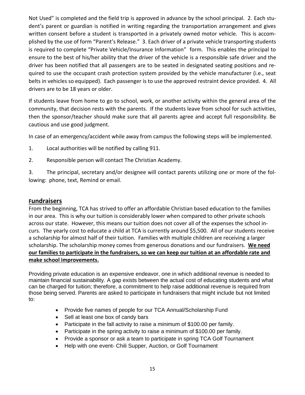Not Used" is completed and the field trip is approved in advance by the school principal. 2. Each student's parent or guardian is notified in writing regarding the transportation arrangement and gives written consent before a student is transported in a privately owned motor vehicle. This is accomplished by the use of form "Parent's Release." 3. Each driver of a private vehicle transporting students is required to complete "Private Vehicle/Insurance Information" form. This enables the principal to ensure to the best of his/her ability that the driver of the vehicle is a responsible safe driver and the driver has been notified that all passengers are to be seated in designated seating positions and required to use the occupant crash protection system provided by the vehicle manufacturer (i.e., seat belts in vehicles so equipped). Each passenger is to use the approved restraint device provided. 4. All drivers are to be 18 years or older.

If students leave from home to go to school, work, or another activity within the general area of the community, that decision rests with the parents. If the students leave from school for such activities, then the sponsor/teacher should make sure that all parents agree and accept full responsibility. Be cautious and use good judgment.

In case of an emergency/accident while away from campus the following steps will be implemented.

- 1. Local authorities will be notified by calling 911.
- 2. Responsible person will contact The Christian Academy.

3. The principal, secretary and/or designee will contact parents utilizing one or more of the following: phone, text, Remind or email.

#### <span id="page-14-0"></span>**Fundraisers**

From the beginning, TCA has strived to offer an affordable Christian based education to the families in our area. This is why our tuition is considerably lower when compared to other private schools across our state. However, this means our tuition does not cover all of the expenses the school incurs. The yearly cost to educate a child at TCA is currently around \$5,500. All of our students receive a scholarship for almost half of their tuition. Families with multiple children are receiving a larger scholarship. The scholarship money comes from generous donations and our fundraisers. **We need our families to participate in the fundraisers, so we can keep our tuition at an affordable rate and make school improvements.**

Providing private education is an expensive endeavor, one in which additional revenue is needed to maintain financial sustainability. A gap exists between the actual cost of educating students and what can be charged for tuition; therefore, a commitment to help raise additional revenue is required from those being served. Parents are asked to participate in fundraisers that might include but not limited to:

- Provide five names of people for our TCA Annual/Scholarship Fund
- Sell at least one box of candy bars
- Participate in the fall activity to raise a minimum of \$100.00 per family.
- Participate in the spring activity to raise a minimum of \$100.00 per family.
- Provide a sponsor or ask a team to participate in spring TCA Golf Tournament
- Help with one event- Chili Supper, Auction, or Golf Tournament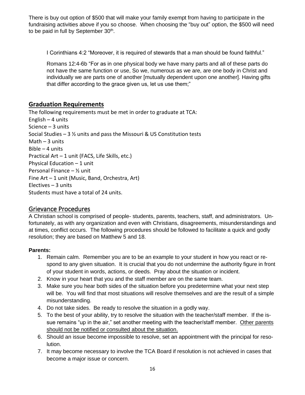There is buy out option of \$500 that will make your family exempt from having to participate in the fundraising activities above if you so choose. When choosing the "buy out" option, the \$500 will need to be paid in full by September 30<sup>th</sup>.

I Corinthians 4:2 "Moreover, it is required of stewards that a man should be found faithful."

Romans 12:4-6b "For as in one physical body we have many parts and all of these parts do not have the same function or use, So we, numerous as we are, are one body in Christ and individually we are parts one of another [mutually dependent upon one another]. Having gifts that differ according to the grace given us, let us use them;"

#### <span id="page-15-0"></span>**Graduation Requirements**

The following requirements must be met in order to graduate at TCA: English – 4 units Science – 3 units Social Studies – 3 ½ units and pass the Missouri & US Constitution tests Math  $-3$  units Bible – 4 units Practical Art – 1 unit (FACS, Life Skills, etc.) Physical Education – 1 unit Personal Finance – ½ unit Fine Art – 1 unit (Music, Band, Orchestra, Art) Electives – 3 units Students must have a total of 24 units.

#### <span id="page-15-1"></span>Grievance Procedures

A Christian school is comprised of people- students, parents, teachers, staff, and administrators. Unfortunately, as with any organization and even with Christians, disagreements, misunderstandings and at times, conflict occurs. The following procedures should be followed to facilitate a quick and godly resolution; they are based on Matthew 5 and 18.

#### **Parents:**

- 1. Remain calm. Remember you are to be an example to your student in how you react or respond to any given situation. It is crucial that you do not undermine the authority figure in front of your student in words, actions, or deeds. Pray about the situation or incident.
- 2. Know in your heart that you and the staff member are on the same team.
- 3. Make sure you hear both sides of the situation before you predetermine what your next step will be. You will find that most situations will resolve themselves and are the result of a simple misunderstanding.
- 4. Do not take sides. Be ready to resolve the situation in a godly way.
- 5. To the best of your ability, try to resolve the situation with the teacher/staff member. If the issue remains "up in the air," set another meeting with the teacher/staff member. Other parents should not be notified or consulted about the situation.
- 6. Should an issue become impossible to resolve, set an appointment with the principal for resolution.
- 7. It may become necessary to involve the TCA Board if resolution is not achieved in cases that become a major issue or concern.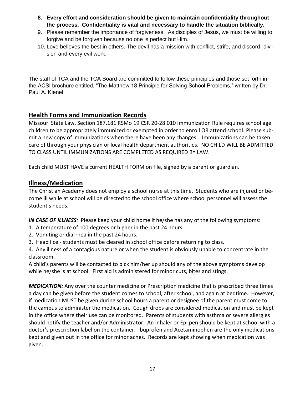- **8. Every effort and consideration should be given to maintain confidentiality throughout the process. Confidentiality is vital and necessary to handle the situation biblically.**
- 9. Please remember the importance of forgiveness. As disciples of Jesus, we must be willing to forgive and be forgiven because no one is perfect but Him.
- 10. Love believes the best in others. The devil has a mission with conflict, strife, and discord- division and every evil work.

The staff of TCA and the TCA Board are committed to follow these principles and those set forth in the ACSI brochure entitled, "The Matthew 18 Principle for Solving School Problems," written by Dr. Paul A. Kienel

#### <span id="page-16-0"></span>**Health Forms and Immunization Records**

Missouri State Law, Section 187.181 RSMo 19 CSR 20-28.010 Immunization Rule requires school age children to be appropriately immunized or exempted in order to enroll OR attend school. Please submit a new copy of immunizations when there have been any changes. Immunizations can be taken care of through your physician or local health department authorities. NO CHILD WILL BE ADMITTED TO CLASS UNTIL IMMUNIZATIONS ARE COMPLETED AS REQUIRED BY LAW.

Each child MUST HAVE a current HEALTH FORM on file, signed by a parent or guardian.

#### <span id="page-16-1"></span>**Illness/Medication**

The Christian Academy does not employ a school nurse at this time. Students who are injured or become ill while at school will be directed to the school office where school personnel will assess the student's needs.

*IN CASE OF ILLNESS:* Please keep your child home if he/she has any of the following symptoms:

- 1. A temperature of 100 degrees or higher in the past 24 hours.
- 2. Vomiting or diarrhea in the past 24 hours.
- 3. Head lice students must be cleared in school office before returning to class.

4. Any illness of a contagious nature or when the student is obviously unable to concentrate in the classroom.

A child's parents will be contacted to pick him/her up should any of the above symptoms develop while he/she is at school. First aid is administered for minor cuts, bites and stings.

*MEDICATION:* Any over the counter medicine or Prescription medicine that is prescribed three times a day can be given before the student comes to school, after school, and again at bedtime. However, if medication MUST be given during school hours a parent or designee of the parent must come to the campus to administer the medication. Cough drops are considered medication and must be kept in the office where their use can be monitored. Parents of students with asthma or severe allergies should notify the teacher and/or Administrator. An inhaler or Epi pen should be kept at school with a doctor's prescription label on the container. Ibuprofen and Acetaminophen are the only medications kept and given out in the office for minor aches. Records are kept showing when medication was given.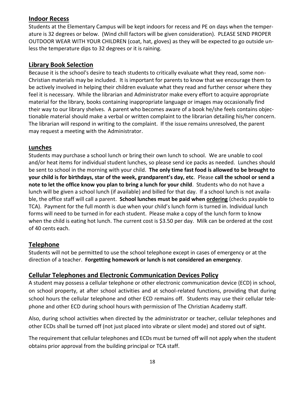#### <span id="page-17-0"></span>**Indoor Recess**

Students at the Elementary Campus will be kept indoors for recess and PE on days when the temperature is 32 degrees or below. (Wind chill factors will be given consideration). PLEASE SEND PROPER OUTDOOR WEAR WITH YOUR CHILDREN (coat, hat, gloves) as they will be expected to go outside unless the temperature dips to 32 degrees or it is raining.

#### <span id="page-17-1"></span>**Library Book Selection**

Because it is the school's desire to teach students to critically evaluate what they read, some non-Christian materials may be included. It is important for parents to know that we encourage them to be actively involved in helping their children evaluate what they read and further censor where they feel it is necessary. While the librarian and Administrator make every effort to acquire appropriate material for the library, books containing inappropriate language or images may occasionally find their way to our library shelves. A parent who becomes aware of a book he/she feels contains objectionable material should make a verbal or written complaint to the librarian detailing his/her concern. The librarian will respond in writing to the complaint. If the issue remains unresolved, the parent may request a meeting with the Administrator.

#### <span id="page-17-2"></span>**Lunches**

Students may purchase a school lunch or bring their own lunch to school. We are unable to cool and/or heat items for individual student lunches, so please send ice packs as needed. Lunches should be sent to school in the morning with your child. **The only time fast food is allowed to be brought to your child is for birthdays, star of the week, grandparent's day, etc**. Please **call the school or send a note to let the office know you plan to bring a lunch for your child**. Students who do not have a lunch will be given a school lunch (if available) and billed for that day. If a school lunch is not available, the office staff will call a parent. **School lunches must be paid when ordering** (checks payable to TCA). Payment for the full month is due when your child's lunch form is turned in. Individual lunch forms will need to be turned in for each student. Please make a copy of the lunch form to know when the child is eating hot lunch. The current cost is \$3.50 per day. Milk can be ordered at the cost of 40 cents each.

#### <span id="page-17-3"></span>**Telephone**

Students will not be permitted to use the school telephone except in cases of emergency or at the direction of a teacher. **Forgetting homework or lunch is not considered an emergency**.

#### **Cellular Telephones and Electronic Communication Devices Policy**

A student may possess a cellular telephone or other electronic communication device (ECD) in school, on school property, at after school activities and at school-related functions, providing that during school hours the cellular telephone and other ECD remains off. Students may use their cellular telephone and other ECD during school hours with permission of The Christian Academy staff.

Also, during school activities when directed by the administrator or teacher, cellular telephones and other ECDs shall be turned off (not just placed into vibrate or silent mode) and stored out of sight.

The requirement that cellular telephones and ECDs must be turned off will not apply when the student obtains prior approval from the building principal or TCA staff.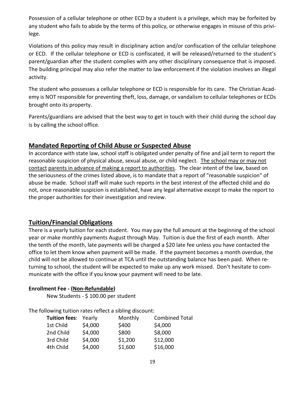Possession of a cellular telephone or other ECD by a student is a privilege, which may be forfeited by any student who fails to abide by the terms of this policy, or otherwise engages in misuse of this privilege.

Violations of this policy may result in disciplinary action and/or confiscation of the cellular telephone or ECD. If the cellular telephone or ECD is confiscated, it will be released/returned to the student's parent/guardian after the student complies with any other disciplinary consequence that is imposed. The building principal may also refer the matter to law enforcement if the violation involves an illegal activity.

The student who possesses a cellular telephone or ECD is responsible for its care. The Christian Academy is NOT responsible for preventing theft, loss, damage, or vandalism to cellular telephones or ECDs brought onto its property.

Parents/guardians are advised that the best way to get in touch with their child during the school day is by calling the school office.

#### <span id="page-18-0"></span>**Mandated Reporting of Child Abuse or Suspected Abuse**

In accordance with state law, school staff is obligated under penalty of fine and jail term to report the reasonable suspicion of physical abuse, sexual abuse, or child neglect. The school may or may not contact parents in advance of making a report to authorities. The clear intent of the law, based on the seriousness of the crimes listed above, is to mandate that a report of "reasonable suspicion" of abuse be made. School staff will make such reports in the best interest of the affected child and do not, once reasonable suspicion is established, have any legal alternative except to make the report to the proper authorities for their investigation and review.

#### <span id="page-18-1"></span>**Tuition/Financial Obligations**

There is a yearly tuition for each student. You may pay the full amount at the beginning of the school year or make monthly payments August through May. Tuition is due the first of each month. After the tenth of the month, late payments will be charged a \$20 late fee unless you have contacted the office to let them know when payment will be made. If the payment becomes a month overdue, the child will not be allowed to continue at TCA until the outstanding balance has been paid. When returning to school, the student will be expected to make up any work missed. Don't hesitate to communicate with the office if you know your payment will need to be late.

#### **Enrollment Fee - (Non-Refundable)**

New Students - \$ 100.00 per student

The following tuition rates reflect a sibling discount:

|           |         | Monthly                     | <b>Combined Total</b> |
|-----------|---------|-----------------------------|-----------------------|
| 1st Child | \$4,000 | \$400                       | \$4,000               |
| 2nd Child | \$4,000 | \$800                       | \$8,000               |
| 3rd Child | \$4,000 | \$1,200                     | \$12,000              |
| 4th Child | \$4,000 | \$1,600                     | \$16,000              |
|           |         | <b>Tuition fees: Yearly</b> |                       |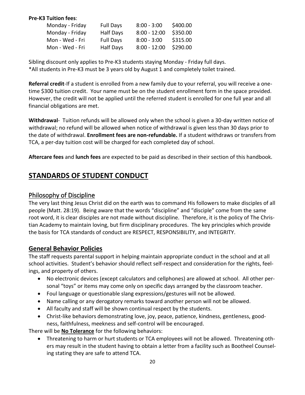#### **Pre-K3 Tuition fees**:

| Monday - Friday | <b>Full Days</b> | $8:00 - 3:00$  | \$400.00 |
|-----------------|------------------|----------------|----------|
| Monday - Friday | <b>Half Days</b> | $8:00 - 12:00$ | \$350.00 |
| Mon - Wed - Fri | <b>Full Days</b> | $8:00 - 3:00$  | \$315.00 |
| Mon - Wed - Fri | <b>Half Days</b> | $8:00 - 12:00$ | \$290.00 |

Sibling discount only applies to Pre-K3 students staying Monday - Friday full days. \*All students in Pre-K3 must be 3 years old by August 1 and completely toilet trained.

**Referral credit**-If a student is enrolled from a new family due to your referral, you will receive a onetime \$300 tuition credit. Your name must be on the student enrollment form in the space provided. However, the credit will not be applied until the referred student is enrolled for one full year and all financial obligations are met.

**Withdrawal**- Tuition refunds will be allowed only when the school is given a 30-day written notice of withdrawal; no refund will be allowed when notice of withdrawal is given less than 30 days prior to the date of withdrawal. **Enrollment fees are non-refundable.** If a student withdraws or transfers from TCA, a per-day tuition cost will be charged for each completed day of school.

<span id="page-19-0"></span>**Aftercare fees** and **lunch fees** are expected to be paid as described in their section of this handbook.

## **STANDARDS OF STUDENT CONDUCT**

#### <span id="page-19-1"></span>Philosophy of Discipline

The very last thing Jesus Christ did on the earth was to command His followers to make disciples of all people (Matt. 28:19). Being aware that the words "discipline" and "disciple" come from the same root word, it is clear disciples are not made without discipline. Therefore, it is the policy of The Christian Academy to maintain loving, but firm disciplinary procedures. The key principles which provide the basis for TCA standards of conduct are RESPECT, RESPONSIBILITY, and INTEGRITY.

#### <span id="page-19-2"></span>**General Behavior Policies**

The staff requests parental support in helping maintain appropriate conduct in the school and at all school activities. Student's behavior should reflect self-respect and consideration for the rights, feelings, and property of others.

- No electronic devices (except calculators and cellphones) are allowed at school. All other personal "toys" or items may come only on specific days arranged by the classroom teacher.
- Foul language or questionable slang expressions/gestures will not be allowed.
- Name calling or any derogatory remarks toward another person will not be allowed.
- All faculty and staff will be shown continual respect by the students.
- Christ-like behaviors demonstrating love, joy, peace, patience, kindness, gentleness, goodness, faithfulness, meekness and self-control will be encouraged.

There will be **No Tolerance** for the following behaviors:

• Threatening to harm or hurt students or TCA employees will not be allowed. Threatening others may result in the student having to obtain a letter from a facility such as Bootheel Counseling stating they are safe to attend TCA.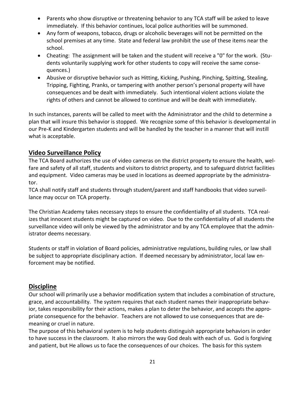- Parents who show disruptive or threatening behavior to any TCA staff will be asked to leave immediately. If this behavior continues, local police authorities will be summoned.
- Any form of weapons, tobacco, drugs or alcoholic beverages will not be permitted on the school premises at any time. State and federal law prohibit the use of these items near the school.
- Cheating: The assignment will be taken and the student will receive a "0" for the work. (Students voluntarily supplying work for other students to copy will receive the same consequences.)
- Abusive or disruptive behavior such as Hitting, Kicking, Pushing, Pinching, Spitting, Stealing, Tripping, Fighting, Pranks, or tampering with another person's personal property will have consequences and be dealt with immediately.Such intentional violent actions violate the rights of others and cannot be allowed to continue and will be dealt with immediately.

In such instances, parents will be called to meet with the Administrator and the child to determine a plan that will insure this behavior is stopped. We recognize some of this behavior is developmental in our Pre-K and Kindergarten students and will be handled by the teacher in a manner that will instill what is acceptable.

#### **Video Surveillance Policy**

The TCA Board authorizes the use of video cameras on the district property to ensure the health, welfare and safety of all staff, students and visitors to district property, and to safeguard district facilities and equipment. Video cameras may be used in locations as deemed appropriate by the administrator.

TCA shall notify staff and students through student/parent and staff handbooks that video surveillance may occur on TCA property.

The Christian Academy takes necessary steps to ensure the confidentiality of all students. TCA realizes that innocent students might be captured on video. Due to the confidentiality of all students the surveillance video will only be viewed by the administrator and by any TCA employee that the administrator deems necessary.

Students or staff in violation of Board policies, administrative regulations, building rules, or law shall be subject to appropriate disciplinary action. If deemed necessary by administrator, local law enforcement may be notified.

#### <span id="page-20-0"></span>**Discipline**

Our school will primarily use a behavior modification system that includes a combination of structure, grace, and accountability. The system requires that each student names their inappropriate behavior, takes responsibility for their actions, makes a plan to deter the behavior, and accepts the appropriate consequence for the behavior. Teachers are not allowed to use consequences that are demeaning or cruel in nature.

The purpose of this behavioral system is to help students distinguish appropriate behaviors in order to have success in the classroom. It also mirrors the way God deals with each of us. God is forgiving and patient, but He allows us to face the consequences of our choices. The basis for this system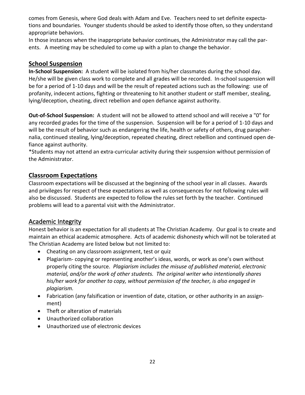comes from Genesis, where God deals with Adam and Eve. Teachers need to set definite expectations and boundaries. Younger students should be asked to identify those often, so they understand appropriate behaviors.

In those instances when the inappropriate behavior continues, the Administrator may call the parents. A meeting may be scheduled to come up with a plan to change the behavior.

#### <span id="page-21-0"></span>**School Suspension**

**In-School Suspension:** A student will be isolated from his/her classmates during the school day. He/she will be given class work to complete and all grades will be recorded. In-school suspension will be for a period of 1-10 days and will be the result of repeated actions such as the following: use of profanity, indecent actions, fighting or threatening to hit another student or staff member, stealing, lying/deception, cheating, direct rebellion and open defiance against authority.

**Out-of-School Suspension:** A student will not be allowed to attend school and will receive a "0" for any recorded grades for the time of the suspension. Suspension will be for a period of 1-10 days and will be the result of behavior such as endangering the life, health or safety of others, drug paraphernalia, continued stealing, lying/deception, repeated cheating, direct rebellion and continued open defiance against authority.

\*Students may not attend an extra-curricular activity during their suspension without permission of the Administrator.

#### <span id="page-21-1"></span>**Classroom Expectations**

Classroom expectations will be discussed at the beginning of the school year in all classes. Awards and privileges for respect of these expectations as well as consequences for not following rules will also be discussed. Students are expected to follow the rules set forth by the teacher. Continued problems will lead to a parental visit with the Administrator.

#### <span id="page-21-2"></span>Academic Integrity

Honest behavior is an expectation for all students at The Christian Academy. Our goal is to create and maintain an ethical academic atmosphere. Acts of academic dishonesty which will not be tolerated at The Christian Academy are listed below but not limited to:

- Cheating on any classroom assignment, test or quiz
- Plagiarism- copying or representing another's ideas, words, or work as one's own without properly citing the source. *Plagiarism includes the misuse of published material, electronic material, and/or the work of other students. The original writer who intentionally shares his/her work for another to copy, without permission of the teacher, is also engaged in plagiarism.*
- Fabrication (any falsification or invention of date, citation, or other authority in an assignment)
- Theft or alteration of materials
- Unauthorized collaboration
- Unauthorized use of electronic devices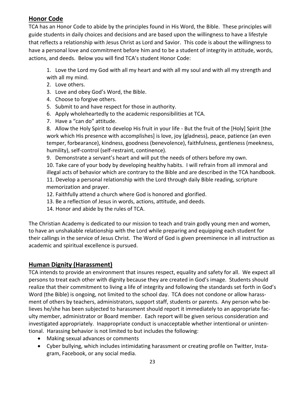## <span id="page-22-0"></span>**Honor Code**

TCA has an Honor Code to abide by the principles found in His Word, the Bible. These principles will guide students in daily choices and decisions and are based upon the willingness to have a lifestyle that reflects a relationship with Jesus Christ as Lord and Savior. This code is about the willingness to have a personal love and commitment before him and to be a student of integrity in attitude, words, actions, and deeds. Below you will find TCA's student Honor Code:

1. Love the Lord my God with all my heart and with all my soul and with all my strength and with all my mind.

- 2. Love others.
- 3. Love and obey God's Word, the Bible.
- 4. Choose to forgive others.
- 5. Submit to and have respect for those in authority.
- 6. Apply wholeheartedly to the academic responsibilities at TCA.
- 7. Have a "can do" attitude.

8. Allow the Holy Spirit to develop His fruit in your life - But the fruit of the [Holy] Spirit [the work which His presence with accomplishes] is love, joy (gladness), peace, patience (an even temper, forbearance), kindness, goodness (benevolence), faithfulness, gentleness (meekness, humility), self-control (self-restraint, continence).

9. Demonstrate a servant's heart and will put the needs of others before my own.

10. Take care of your body by developing healthy habits. I will refrain from all immoral and illegal acts of behavior which are contrary to the Bible and are described in the TCA handbook. 11. Develop a personal relationship with the Lord through daily Bible reading, scripture memorization and prayer.

- 12. Faithfully attend a church where God is honored and glorified.
- 13. Be a reflection of Jesus in words, actions, attitude, and deeds.
- 14. Honor and abide by the rules of TCA.

The Christian Academy is dedicated to our mission to teach and train godly young men and women, to have an unshakable relationship with the Lord while preparing and equipping each student for their callings in the service of Jesus Christ. The Word of God is given preeminence in all instruction as academic and spiritual excellence is pursued.

## <span id="page-22-1"></span>**Human Dignity (Harassment)**

TCA intends to provide an environment that insures respect, equality and safety for all. We expect all persons to treat each other with dignity because they are created in God's image. Students should realize that their commitment to living a life of integrity and following the standards set forth in God's Word (the Bible) is ongoing, not limited to the school day. TCA does not condone or allow harassment of others by teachers, administrators, support staff, students or parents. Any person who believes he/she has been subjected to harassment should report it immediately to an appropriate faculty member, administrator or Board member. Each report will be given serious consideration and investigated appropriately. Inappropriate conduct is unacceptable whether intentional or unintentional. Harassing behavior is not limited to but includes the following:

- Making sexual advances or comments
- Cyber bullying, which includes intimidating harassment or creating profile on Twitter, Instagram, Facebook, or any social media.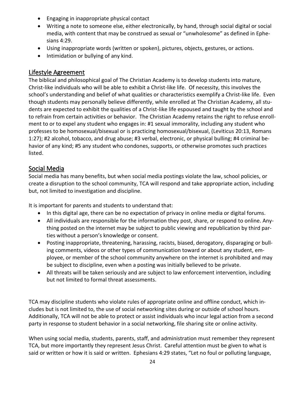- Engaging in inappropriate physical contact
- Writing a note to someone else, either electronically, by hand, through social digital or social media, with content that may be construed as sexual or "unwholesome" as defined in Ephesians 4:29.
- Using inappropriate words (written or spoken), pictures, objects, gestures, or actions.
- Intimidation or bullying of any kind.

#### <span id="page-23-0"></span>Lifestyle Agreement

The biblical and philosophical goal of The Christian Academy is to develop students into mature, Christ-like individuals who will be able to exhibit a Christ-like life. Of necessity, this involves the school's understanding and belief of what qualities or characteristics exemplify a Christ-like life. Even though students may personally believe differently, while enrolled at The Christian Academy, all students are expected to exhibit the qualities of a Christ-like life espoused and taught by the school and to refrain from certain activities or behavior. The Christian Academy retains the right to refuse enrollment to or to expel any student who engages in: #1 sexual immorality, including any student who professes to be homosexual/bisexual or is practicing homosexual/bisexual, (Leviticus 20:13, Romans 1:27); #2 alcohol, tobacco, and drug abuse; #3 verbal, electronic, or physical bulling; #4 criminal behavior of any kind; #5 any student who condones, supports, or otherwise promotes such practices listed.

#### <span id="page-23-1"></span>Social Media

Social media has many benefits, but when social media postings violate the law, school policies, or create a disruption to the school community, TCA will respond and take appropriate action, including but, not limited to investigation and discipline.

It is important for parents and students to understand that:

- In this digital age, there can be no expectation of privacy in online media or digital forums.
- All individuals are responsible for the information they post, share, or respond to online. Anything posted on the internet may be subject to public viewing and republication by third parties without a person's knowledge or consent.
- Posting inappropriate, threatening, harassing, racists, biased, derogatory, disparaging or bulling comments, videos or other types of communication toward or about any student, employee, or member of the school community anywhere on the internet is prohibited and may be subject to discipline, even when a posting was initially believed to be private.
- All threats will be taken seriously and are subject to law enforcement intervention, including but not limited to formal threat assessments.

TCA may discipline students who violate rules of appropriate online and offline conduct, which includes but is not limited to, the use of social networking sites during or outside of school hours. Additionally, TCA will not be able to protect or assist individuals who incur legal action from a second party in response to student behavior in a social networking, file sharing site or online activity.

When using social media, students, parents, staff, and administration must remember they represent TCA, but more importantly they represent Jesus Christ. Careful attention must be given to what is said or written or how it is said or written. Ephesians 4:29 states, "Let no foul or polluting language,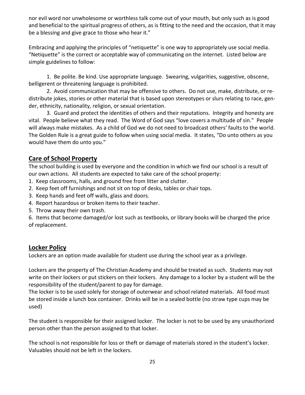nor evil word nor unwholesome or worthless talk come out of your mouth, but only such as is good and beneficial to the spiritual progress of others, as is fitting to the need and the occasion, that it may be a blessing and give grace to those who hear it."

Embracing and applying the principles of "netiquette" is one way to appropriately use social media. "Netiquette" is the correct or acceptable way of communicating on the internet. Listed below are simple guidelines to follow:

1. Be polite. Be kind. Use appropriate language. Swearing, vulgarities, suggestive, obscene, belligerent or threatening language is prohibited.

2. Avoid communication that may be offensive to others. Do not use, make, distribute, or redistribute jokes, stories or other material that is based upon stereotypes or slurs relating to race, gender, ethnicity, nationality, religion, or sexual orientation.

3. Guard and protect the identities of others and their reputations. Integrity and honesty are vital. People believe what they read. The Word of God says "love covers a multitude of sin." People will always make mistakes. As a child of God we do not need to broadcast others' faults to the world. The Golden Rule is a great guide to follow when using social media. It states, "Do unto others as you would have them do unto you."

#### <span id="page-24-0"></span>**Care of School Property**

The school building is used by everyone and the condition in which we find our school is a result of our own actions. All students are expected to take care of the school property:

- 1. Keep classrooms, halls, and ground free from litter and clutter.
- 2. Keep feet off furnishings and not sit on top of desks, tables or chair tops.
- 3. Keep hands and feet off walls, glass and doors.
- 4. Report hazardous or broken items to their teacher.
- 5. Throw away their own trash.

6. Items that become damaged/or lost such as textbooks, or library books will be charged the price of replacement.

#### **Locker Policy**

Lockers are an option made available for student use during the school year as a privilege.

Lockers are the property of The Christian Academy and should be treated as such. Students may not write on their lockers or put stickers on their lockers. Any damage to a locker by a student will be the responsibility of the student/parent to pay for damage.

The locker is to be used solely for storage of outerwear and school related materials. All food must be stored inside a lunch box container. Drinks will be in a sealed bottle (no straw type cups may be used)

The student is responsible for their assigned locker. The locker is not to be used by any unauthorized person other than the person assigned to that locker.

The school is not responsible for loss or theft or damage of materials stored in the student's locker. Valuables should not be left in the lockers.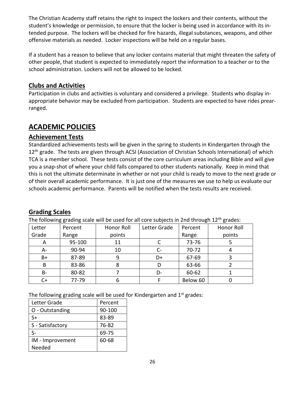The Christian Academy staff retains the right to inspect the lockers and their contents, without the student's knowledge or permission, to ensure that the locker is being used in accordance with its intended purpose. The lockers will be checked for fire hazards, illegal substances, weapons, and other offensive materials as needed. Locker inspections will be held on a regular bases.

If a student has a reason to believe that any locker contains material that might threaten the safety of other people, that student is expected to immediately report the information to a teacher or to the school administration. Lockers will not be allowed to be locked.

#### <span id="page-25-0"></span>**Clubs and Activities**

Participation in clubs and activities is voluntary and considered a privilege. Students who display inappropriate behavior may be excluded from participation. Students are expected to have rides prearranged.

## <span id="page-25-1"></span>**ACADEMIC POLICIES**

#### <span id="page-25-2"></span>**Achievement Tests**

Standardized achievements tests will be given in the spring to students in Kindergarten through the 12<sup>th</sup> grade. The tests are given through ACSI (Association of Christian Schools International) of which TCA is a member school. These tests consist of the core curriculum areas including Bible and will give you a snap-shot of where your child falls compared to other students nationally. Keep in mind that this is not the ultimate determinate in whether or not your child is ready to move to the next grade or of their overall academic performance. It is just one of the measures we use to help us evaluate our schools academic performance. Parents will be notified when the tests results are received.

#### <span id="page-25-3"></span>**Grading Scales**

The following grading scale will be used for all core subjects in 2nd through 12<sup>th</sup> grades:

| Letter | Percent | Honor Roll | Letter Grade | Percent   | Honor Roll |
|--------|---------|------------|--------------|-----------|------------|
| Grade  | Range   | points     |              | Range     | points     |
| A      | 95-100  | 11         |              | 73-76     |            |
| A-     | 90-94   | 10         | C-           | $70 - 72$ |            |
| $B+$   | 87-89   | 9          | D+           | 67-69     |            |
| B      | 83-86   |            | D            | 63-66     |            |
| B-     | 80-82   |            | D-           | 60-62     |            |
|        | 77-79   | o          |              | Below 60  |            |

The following grading scale will be used for Kindergarten and  $1<sup>st</sup>$  grades:

| Letter Grade     | Percent |
|------------------|---------|
| O - Outstanding  | 90-100  |
| S+               | 83-89   |
| S - Satisfactory | 76-82   |
| ς_               | 69-75   |
| IM - Improvement | 60-68   |
| Needed           |         |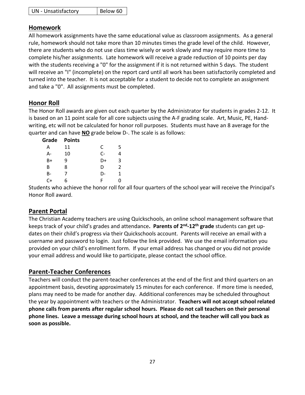| <b>UN</b> - Unsatisfactory | Below 60 |
|----------------------------|----------|
|----------------------------|----------|

#### <span id="page-26-0"></span>**Homework**

All homework assignments have the same educational value as classroom assignments. As a general rule, homework should not take more than 10 minutes times the grade level of the child. However, there are students who do not use class time wisely or work slowly and may require more time to complete his/her assignments. Late homework will receive a grade reduction of 10 points per day with the students receiving a "0" for the assignment if it is not returned within 5 days. The student will receive an "I" (incomplete) on the report card until all work has been satisfactorily completed and turned into the teacher. It is not acceptable for a student to decide not to complete an assignment and take a "0". All assignments must be completed.

#### <span id="page-26-1"></span>**Honor Roll**

The Honor Roll awards are given out each quarter by the Administrator for students in grades 2-12. It is based on an 11 point scale for all core subjects using the A-F grading scale. Art, Music, PE, Handwriting, etc will not be calculated for honor roll purposes. Students must have an 8 average for the quarter and can have **NO** grade below D-. The scale is as follows:

| Grade | <b>Points</b> |      |               |
|-------|---------------|------|---------------|
| Α     | 11            | C    | 5             |
| А-    | 10            | $C-$ |               |
| B+    | q             | D+   | 3             |
| B     | 8             | D    | $\mathcal{P}$ |
| B-    |               | D-   | 1             |
| C+    | h             | F    |               |

Students who achieve the honor roll for all four quarters of the school year will receive the Principal's Honor Roll award.

#### <span id="page-26-2"></span>**Parent Portal**

The Christian Academy teachers are using Quickschools, an online school management software that keeps track of your child's grades and attendance**. Parents of 2nd -12th grade** students can get updates on their child's progress via their Quickschools account. Parents will receive an email with a username and password to login. Just follow the link provided. We use the email information you provided on your child's enrollment form. If your email address has changed or you did not provide your email address and would like to participate, please contact the school office.

#### <span id="page-26-3"></span>**Parent-Teacher Conferences**

Teachers will conduct the parent-teacher conferences at the end of the first and third quarters on an appointment basis, devoting approximately 15 minutes for each conference. If more time is needed, plans may need to be made for another day. Additional conferences may be scheduled throughout the year by appointment with teachers or the Administrator. **Teachers will not accept school related phone calls from parents after regular school hours. Please do not call teachers on their personal phone lines. Leave a message during school hours at school, and the teacher will call you back as soon as possible.**